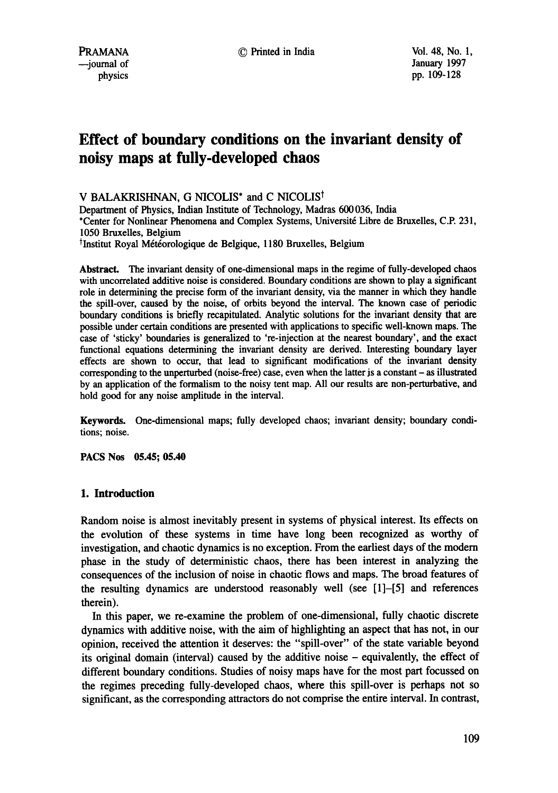# **Effect of boundary conditions on the invariant density of noisy maps at fully-developed chaos**

V BALAKRISHNAN, G NICOLIS<sup>\*</sup> and C NICOLIS<sup>†</sup>

Department of Physics, Indian Institute of Technology, Madras 600036, India \*Center for Nonlinear Phenomena and Complex Systems, Universit6 Libre de Bruxelles, C.P. 231, 1050 Bruxelles, Belgium

 $\dagger$ Institut Royal Météorologique de Belgique, 1180 Bruxelles, Belgium

Abstract. The invariant density of one-dimensional maps in the regime of fully-developed chaos with uncorrelated additive noise is considered. Boundary conditions are shown to play a significant role in determining the precise form of the invariant density, via the manner in which they handle the spill-over, caused by the noise, of orbits beyond the interval. The known case of periodic boundary conditions is briefly recapitulated. Analytic solutions for the invariant density that are possible under certain conditions are presented with applications to specific well-known maps. The case of 'sticky' boundaries is generalized to 're-injection at the nearest boundary', and the exact functional equations determining the invariant density are derived. Interesting boundary layer effects are shown to occur, that lead to significant modifications of the invariant **density**  corresponding to the unperturbed (noise-free) case, even when the latter js a constant- as illustrated by an application of the formalism to the noisy tent map. All our results are non-perturhative, and hold good for any noise amplitude in the interval.

Keywords. One-dimensional maps; fully developed chaos; invariant density; boundary conditions; noise.

**PACS Nos 05.45; 05.40** 

# **1. Introduction**

Random noise is almost inevitably present in systems of physical interest. Its effects on the evolution of these systems in time have long been recognized as worthy of investigation, and chaotic dynamics is no exception. From the earliest days of the modem phase in the study of deterministic chaos, there has been interest in analyzing the consequences of the inclusion of noise in chaotic flows and maps. The broad features of the resulting dynamics are understood reasonably well (see [1]-[5] and references therein).

In this paper, we re-examine the problem of one-dimensional, fully chaotic discrete dynamics with additive noise, with the aim of highlighting an aspect that has not, in our opinion, received the attention it deserves: the "spill-over" of the state variable beyond its original domain (interval) caused by the additive noise - equivalently, the effect of different boundary conditions. Studies of noisy maps have for the most part focussed on the regimes preceding fully-developed chaos, where this spill-over is perhaps not so significant, as the corresponding attractors do not comprise the entire interval. In contrast,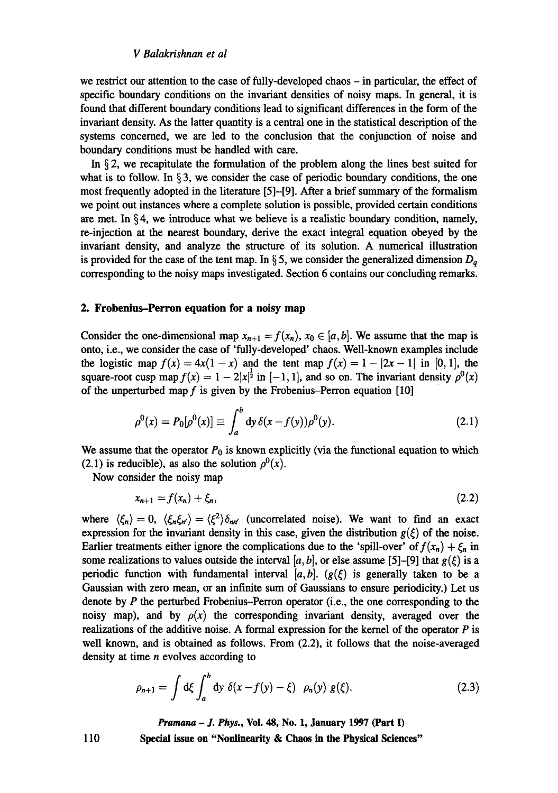# *V Balakrishnan et al*

we restrict our attention to the case of fully-developed chaos – in particular, the effect of specific boundary conditions on the invariant densities of noisy maps. In general, it is found that different boundary conditions lead to significant differences in the form of the invariant density. As the latter quantity is a central one in the statistical description of the systems concerned, we are led to the conclusion that the conjunction of noise and boundary conditions must be handled with care.

In § 2, we recapitulate the formulation of the problem along the lines best suited for what is to follow. In  $\S$ 3, we consider the case of periodic boundary conditions, the one most frequently adopted in the literature [5]-[9]. After a brief summary of the formalism we point out instances where a complete solution is possible, provided certain conditions are met. In  $\S 4$ , we introduce what we believe is a realistic boundary condition, namely, re-injection at the nearest boundary, derive the exact integral equation obeyed by the invariant density, and analyze the structure of its solution. A numerical illustration is provided for the case of the tent map. In  $\S$ 5, we consider the generalized dimension  $D_q$ corresponding to the noisy maps investigated. Section 6 contains our concluding remarks.

# **2. Frobenius-Perron equation for a noisy map**

Consider the one-dimensional map  $x_{n+1} = f(x_n)$ ,  $x_0 \in [a, b]$ . We assume that the map is onto, i.e., we consider the case of 'fully-developed' chaos. Well-known examples include the logistic map  $f(x) = 4x(1-x)$  and the tent map  $f(x) = 1 - |2x - 1|$  in [0, 1], the square-root cusp map  $f(x) = 1 - 2|x|^{\frac{1}{2}}$  in  $[-1, 1]$ , and so on. The invariant density  $\rho^{0}(x)$ of the unperturbed map  $f$  is given by the Frobenius-Perron equation [10]

$$
\rho^{0}(x) = P_{0}[\rho^{0}(x)] \equiv \int_{a}^{b} dy \,\delta(x - f(y))\rho^{0}(y). \tag{2.1}
$$

We assume that the operator  $P_0$  is known explicitly (via the functional equation to which (2.1) is reducible), as also the solution  $\rho^{0}(x)$ .

Now consider the noisy map

$$
x_{n+1} = f(x_n) + \xi_n, \tag{2.2}
$$

where  $\langle \xi_n \rangle = 0$ ,  $\langle \xi_n \xi_{n'} \rangle = \langle \xi^2 \rangle \delta_{nn'}$  (uncorrelated noise). We want to find an exact expression for the invariant density in this case, given the distribution  $g(\xi)$  of the noise. Earlier treatments either ignore the complications due to the 'spill-over' of  $f(x_n) + \xi_n$  in some realizations to values outside the interval [a, b], or else assume [5]-[9] that  $g(\xi)$  is a periodic function with fundamental interval  $[a, b]$ .  $(g(\xi))$  is generally taken to be a Gaussian with zero mean, or an infinite sum of Gaussians to ensure periodicity.) Let us denote by  $P$  the perturbed Frobenius-Perron operator (i.e., the one corresponding to the noisy map), and by  $\rho(x)$  the corresponding invariant density, averaged over the realizations of the additive noise. A formal expression for the kernel of the operator  $P$  is well known, and is obtained as follows. From (2.2), it follows that the noise-averaged density at time  $n$  evolves according to

$$
\rho_{n+1} = \int d\xi \int_a^b dy \; \delta(x - f(y) - \xi) \; \rho_n(y) \; g(\xi). \tag{2.3}
$$

*Pramana - J. Phys.,* **Vol. 48, No. 1, January 1997 (Part I)** 

**Special issue on "Nonlinearity & Chaos in the Physical Sciences"**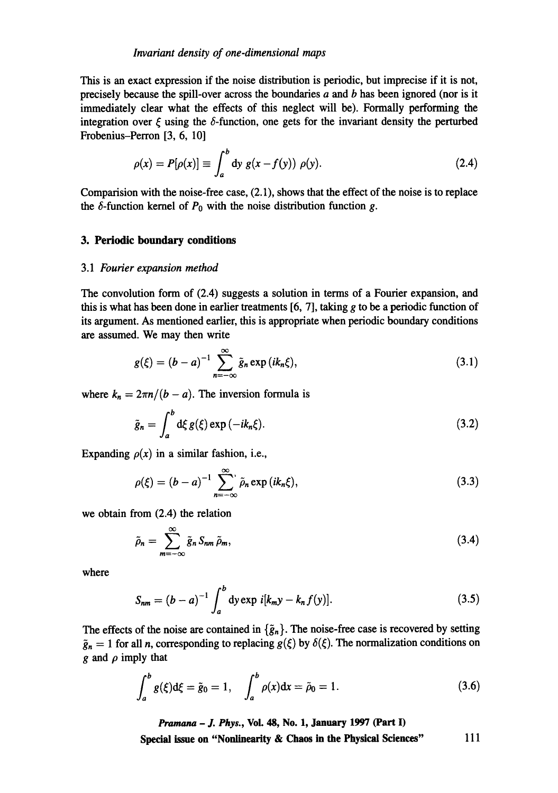#### *Invariant density of one-dimensional maps*

This is an exact expression if the noise distribution is periodic, but imprecise if it is not, precisely because the spill-over across the boundaries  $a$  and  $b$  has been ignored (nor is it immediately clear what the effects of this neglect will be). Formally performing the integration over  $\zeta$  using the  $\delta$ -function, one gets for the invariant density the perturbed Frobenius-Perron [3, 6, 10]

$$
\rho(x) = P[\rho(x)] \equiv \int_a^b dy g(x - f(y)) \rho(y). \tag{2.4}
$$

Comparision with the noise-free case, (2.1), shows that the effect of the noise is to replace the  $\delta$ -function kernel of  $P_0$  with the noise distribution function g.

#### **3. Periodic boundary conditions**

#### 3.1 *Fourier expansion method*

The convolution form of (2.4) suggests a solution in terms of a Fourier expansion, and this is what has been done in earlier treatments  $[6, 7]$ , taking g to be a periodic function of its argument. As mentioned earlier, this is appropriate when periodic boundary conditions are assumed. We may then write

$$
g(\xi) = (b-a)^{-1} \sum_{n=-\infty}^{\infty} \tilde{g}_n \exp(ik_n\xi), \qquad (3.1)
$$

where  $k_n = 2\pi n/(b - a)$ . The inversion formula is

$$
\tilde{g}_n = \int_a^b d\xi \, g(\xi) \exp\left(-ik_n\xi\right). \tag{3.2}
$$

Expanding  $\rho(x)$  in a similar fashion, i.e.,

$$
\rho(\xi) = (b - a)^{-1} \sum_{n = -\infty}^{\infty} \tilde{\rho}_n \exp(ik_n \xi), \qquad (3.3)
$$

we obtain from (2.4) the relation

$$
\tilde{\rho}_n = \sum_{m=-\infty}^{\infty} \tilde{g}_n S_{nm} \tilde{\rho}_m, \tag{3.4}
$$

where

$$
S_{nm} = (b-a)^{-1} \int_{a}^{b} dy \exp i[k_m y - k_n f(y)].
$$
 (3.5)

The effects of the noise are contained in  $\{\tilde{g}_n\}$ . The noise-free case is recovered by setting  $\tilde{g}_n = 1$  for all n, corresponding to replacing  $g(\xi)$  by  $\delta(\xi)$ . The normalization conditions on g and  $\rho$  imply that

$$
\int_{a}^{b} g(\xi) d\xi = \tilde{g}_0 = 1, \quad \int_{a}^{b} \rho(x) dx = \tilde{\rho}_0 = 1.
$$
 (3.6)

*Pramana - J. Phys.,* **Vol. 48, No. 1, January 1997 (Part I)**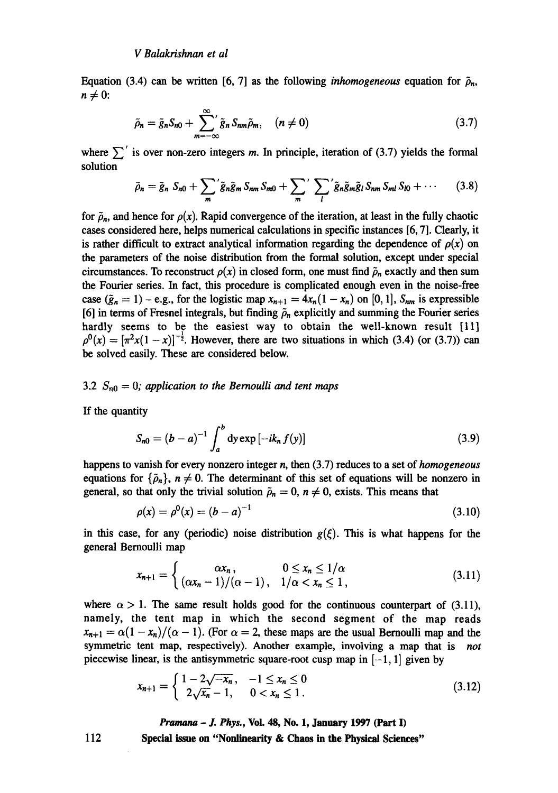Equation (3.4) can be written [6, 7] as the following *inhomogeneous* equation for  $\tilde{\rho}_n$ ,  $n \neq 0$ :

$$
\tilde{\rho}_n = \tilde{g}_n S_{n0} + \sum_{m=-\infty}^{\infty} g_n S_{nm} \tilde{\rho}_m, \quad (n \neq 0)
$$
\n(3.7)

where  $\sum'$  is over non-zero integers m. In principle, iteration of (3.7) yields the formal solution

$$
\tilde{\rho}_n = \tilde{g}_n \ S_{n0} + \sum_m \left( \tilde{g}_n \tilde{g}_m S_{nm} S_{m0} + \sum_m \left( \sum_l \tilde{g}_n \tilde{g}_m \tilde{g}_l S_{nm} S_{ml} S_{l0} + \cdots \right) \right) \tag{3.8}
$$

for  $\rho_n$ , and hence for  $\rho(x)$ . Rapid convergence of the iteration, at least in the fully chaotic cases considered here, helps numerical calculations in specific instances [6, 7]. Clearly, it is rather difficult to extract analytical information regarding the dependence of  $\rho(x)$  on the parameters of the noise distribution from the formal solution, except under special circumstances. To reconstruct  $\rho(x)$  in closed form, one must find  $\tilde{\rho}_n$  exactly and then sum the Fourier series. In fact, this procedure is complicated enough even in the noise-free case  $(\tilde{g}_n = 1) - e.g.,$  for the logistic map  $x_{n+1} = 4x_n(1 - x_n)$  on [0, 1],  $S_{nm}$  is expressible [6] in terms of Fresnel integrals, but finding  $\rho_n$  explicitly and summing the Fourier series hardly seems to be the easiest way to obtain the well-known result [11]  $p^{0}(x) = [\pi^{2}x(1-x)]^{-\frac{1}{2}}$ . However, there are two situations in which (3.4) (or (3.7)) can be solved easily. These are considered below.

#### 3.2 *Sno = O; application to the Bernoulli and tent maps*

If the quantity

$$
S_{n0} = (b - a)^{-1} \int_{a}^{b} dy \exp[-ik_n f(y)] \qquad (3.9)
$$

happens to vanish for every nonzero integer n, then (3.7) reduces to a set of *homogeneous*  equations for  $\{\tilde{\rho}_n\}$ ,  $n \neq 0$ . The determinant of this set of equations will be nonzero in general, so that only the trivial solution  $\tilde{\rho}_n = 0$ ,  $n \neq 0$ , exists. This means that

$$
\rho(x) = \rho^0(x) = (b - a)^{-1} \tag{3.10}
$$

in this case, for any (periodic) noise distribution  $g(\xi)$ . This is what happens for the general Bernoulli map

$$
x_{n+1} = \begin{cases} \alpha x_n, & 0 \le x_n \le 1/\alpha \\ (\alpha x_n - 1)/(\alpha - 1), & 1/\alpha < x_n \le 1, \end{cases}
$$
 (3.11)

where  $\alpha > 1$ . The same result holds good for the continuous counterpart of (3.11), namely, the tent map in which the second segment of the map reads  $x_{n+1} = \alpha(1 - x_n)/(\alpha - 1)$ . (For  $\alpha = 2$ , these maps are the usual Bernoulli map and the symmetric tent map, respectively). Another example, involving a map that is *not*  piecewise linear, is the antisymmetric square-root cusp map in  $[-1, 1]$  given by

$$
x_{n+1} = \begin{cases} 1 - 2\sqrt{-x_n}, & -1 \le x_n \le 0 \\ 2\sqrt{x_n} - 1, & 0 < x_n \le 1. \end{cases}
$$
 (3.12)

*Pramana - J. Phys.,* **Vol. 48, No. 1, January 1997 (Part I)** 

**Special issue on "Nonlinearity & Chaos in the Physical Sciences"**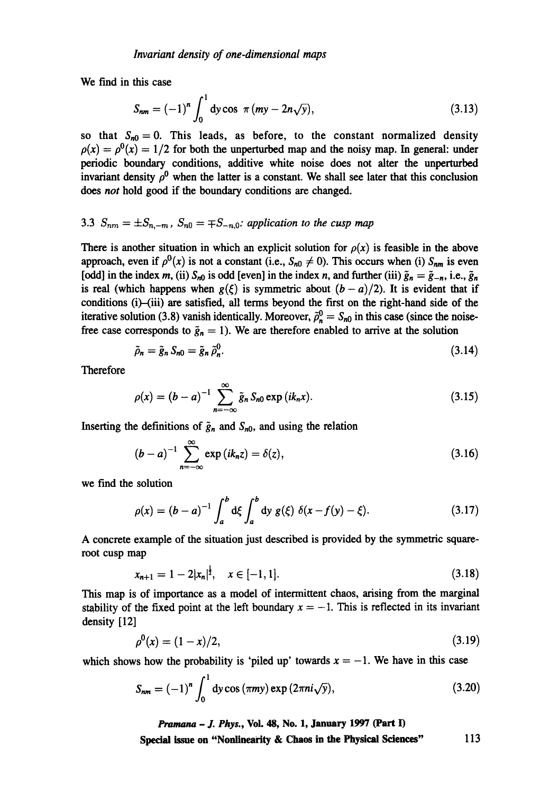We find in this case

$$
S_{nm} = (-1)^n \int_0^1 dy \cos \pi (my - 2n\sqrt{y}), \qquad (3.13)
$$

so that  $S_{n0} = 0$ . This leads, as before, to the constant normalized density  $\rho(x) = \rho^{0}(x) = 1/2$  for both the unperturbed map and the noisy map. In general: under periodic boundary conditions, additive white noise does not alter the unperturbed invariant density  $\rho^0$  when the latter is a constant. We shall see later that this conclusion does *not* hold good if the boundary conditions are changed.

# 3.3  $S_{nm} = \pm S_{n,-m}$ ,  $S_{n0} = \mp S_{-n,0}$ : application to the cusp map

There is another situation in which an explicit solution for  $\rho(x)$  is feasible in the above approach, even if  $\rho^0(x)$  is not a constant (i.e.,  $S_{n0} \neq 0$ ). This occurs when (i)  $S_{nm}$  is even [odd] in the index m, (ii)  $S_{n0}$  is odd [even] in the index n, and further (iii)  $\tilde{g}_n = \tilde{g}_{-n}$ , i.e.,  $\tilde{g}_n$ is real (which happens when  $g(\xi)$  is symmetric about  $(b-a)/2$ ). It is evident that if conditions (i)-(iii) are satisfied, all terms beyond the first on the right-hand side of the iterative solution (3.8) vanish identically. Moreover,  $\tilde{\rho}_n^0 = S_{n0}$  in this case (since the noisefree case corresponds to  $\tilde{g}_n = 1$ ). We are therefore enabled to arrive at the solution

$$
\tilde{\rho}_n = \tilde{g}_n S_{n0} = \tilde{g}_n \tilde{\rho}_n^0. \tag{3.14}
$$

Therefore

$$
\rho(x) = (b - a)^{-1} \sum_{n = -\infty}^{\infty} \tilde{g}_n S_{n0} \exp(ik_n x).
$$
 (3.15)

Inserting the definitions of  $\tilde{g}_n$  and  $S_{n0}$ , and using the relation

$$
(b-a)^{-1} \sum_{n=-\infty}^{\infty} \exp(ik_n z) = \delta(z),
$$
 (3.16)

we find the solution

$$
\rho(x) = (b - a)^{-1} \int_{a}^{b} d\xi \int_{a}^{b} dy g(\xi) \ \delta(x - f(y) - \xi).
$$
 (3.17)

A concrete example of the situation just described is provided by the symmetric squareroot cusp map

$$
x_{n+1} = 1 - 2|x_n|^{\frac{1}{2}}, \quad x \in [-1, 1]. \tag{3.18}
$$

This map is of importance as a model of intermittent chaos, arising from the marginal stability of the fixed point at the left boundary  $x = -1$ . This is reflected in its invariant density [12]

$$
\rho^0(x) = (1-x)/2,\tag{3.19}
$$

which shows how the probability is 'piled up' towards  $x = -1$ . We have in this case

$$
S_{nm} = (-1)^n \int_0^1 \mathrm{dy} \cos\left(\pi my\right) \exp\left(2\pi ni\sqrt{y}\right),\tag{3.20}
$$

*Pramana - J. Phys.,* **Vol. 48, No. 1, January 1997 (Part I)**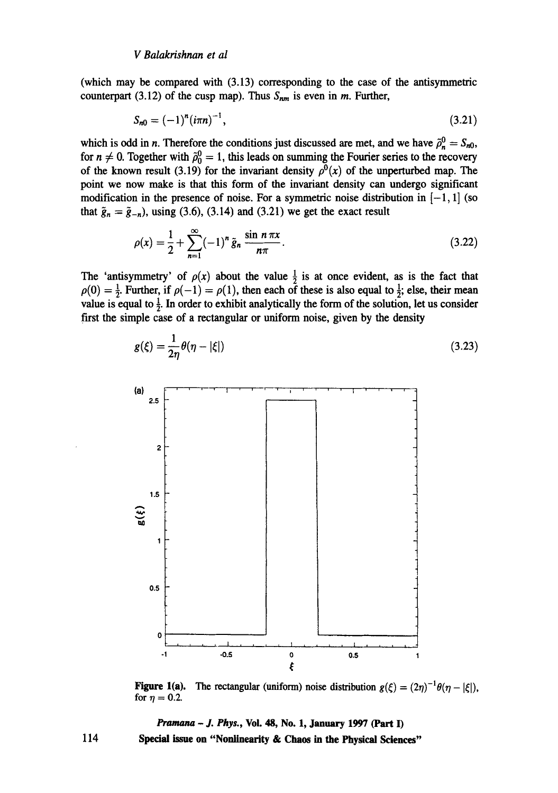(which may be compared with (3.13) corresponding to the case of the antisymmetric counterpart (3.12) of the cusp map). Thus  $S_{nm}$  is even in m. Further,

$$
S_{n0} = (-1)^{n} (i\pi n)^{-1}, \qquad (3.21)
$$

which is odd in *n*. Therefore the conditions just discussed are met, and we have  $\tilde{\rho}_n^0 = S_{n0}$ , for  $n \neq 0$ . Together with  $\tilde{\rho}_0^0 = 1$ , this leads on summing the Fourier series to the recovery of the known result (3.19) for the invariant density  $\rho^{0}(x)$  of the unperturbed map. The point we now make is that this form of the invariant density can undergo significant modification in the presence of noise. For a symmetric noise distribution in  $[-1, 1]$  (so that  $\tilde{g}_n = \tilde{g}_{-n}$ , using (3.6), (3.14) and (3.21) we get the exact result

$$
\rho(x) = \frac{1}{2} + \sum_{n=1}^{\infty} (-1)^n \tilde{g}_n \frac{\sin n \pi x}{n \pi}.
$$
\n(3.22)

The 'antisymmetry' of  $\rho(x)$  about the value  $\frac{1}{2}$  is at once evident, as is the fact that  $p(0) = \frac{1}{2}$ . Further, if  $p(-1) = p(1)$ , then each of these is also equal to  $\frac{1}{2}$ ; else, their mean value is equal to  $\frac{1}{2}$ . In order to exhibit analytically the form of the solution, let us consider first the simple case of a rectangular or uniform noise, given by the density



$$
g(\xi) = \frac{1}{2\eta} \theta(\eta - |\xi|) \tag{3.23}
$$

**Figure 1(a).** The rectangular (uniform) noise distribution  $g(\xi) = (2\eta)^{-1}\theta(\eta - |\xi|)$ , for  $\eta = 0.2$ .

*Pramana - J. Phys.,* Voi. 48, No. 1, January 1997 (Part I) Special issue on "Nonlinearity & Chaos in the Physical Sciences"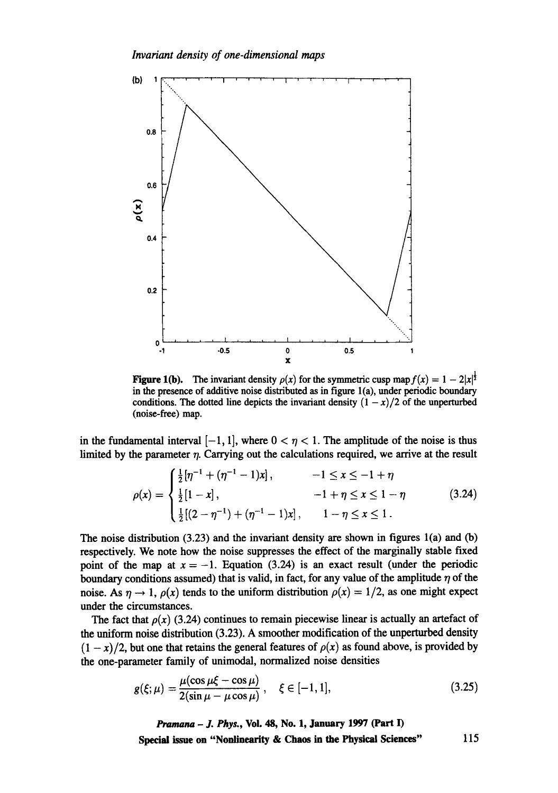

Figure 1(b). The invariant density  $\rho(x)$  for the symmetric cusp map  $f(x) = 1 - 2|x|^{\frac{1}{2}}$ in the presence of additive noise distributed as in figure  $l(a)$ , under periodic boundary conditions. The dotted line depicts the invariant density  $(1 - x)/2$  of the unperturbed (noise-free) map.

in the fundamental interval  $[-1, 1]$ , where  $0 < \eta < 1$ . The amplitude of the noise is thus limited by the parameter  $\eta$ . Carrying out the calculations required, we arrive at the result

$$
\rho(x) = \begin{cases} \frac{1}{2} [\eta^{-1} + (\eta^{-1} - 1)x], & -1 \leq x \leq -1 + \eta \\ \frac{1}{2} [1 - x], & -1 + \eta \leq x \leq 1 - \eta \\ \frac{1}{2} [(2 - \eta^{-1}) + (\eta^{-1} - 1)x], & 1 - \eta \leq x \leq 1. \end{cases}
$$
(3.24)

The noise distribution  $(3.23)$  and the invariant density are shown in figures 1(a) and (b) respectively. We note how the noise suppresses the effect of the marginally stable fixed point of the map at  $x = -1$ . Equation (3.24) is an exact result (under the periodic boundary conditions assumed) that is valid, in fact, for any value of the amplitude  $\eta$  of the noise. As  $\eta \to 1$ ,  $\rho(x)$  tends to the uniform distribution  $\rho(x) = 1/2$ , as one might expect under the circumstances.

The fact that  $\rho(x)$  (3.24) continues to remain piecewise linear is actually an artefact of the uniform noise distribution  $(3.23)$ . A smoother modification of the unperturbed density  $(1 - x)/2$ , but one that retains the general features of  $\rho(x)$  as found above, is provided by the one-parameter family of unimodal, normalized noise densities

$$
g(\xi;\mu) = \frac{\mu(\cos \mu \xi - \cos \mu)}{2(\sin \mu - \mu \cos \mu)}, \quad \xi \in [-1,1],
$$
 (3.25)

*Pramana - J. Phys.,* **Vol. 48, No. 1, January 1997 (Part I) Special issue on "Nonlinearity & Chaos in the Physical Sciences"** 115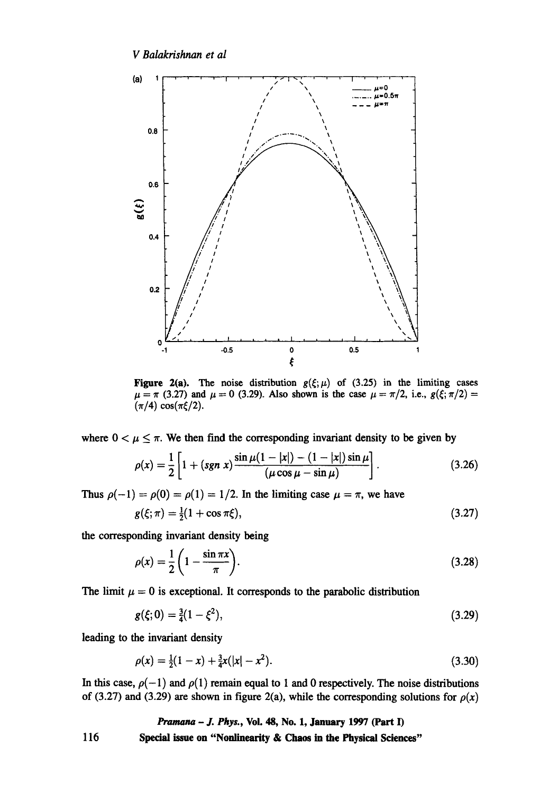

Figure 2(a). The noise distribution  $g(\xi;\mu)$  of (3.25) in the limiting cases  $\mu = \pi$  (3.27) and  $\mu = 0$  (3.29). Also shown is the case  $\mu = \pi/2$ , i.e.,  $g(\xi; \pi/2) =$  $(\pi/4) \cos(\pi \xi/2)$ .

where  $0 < \mu \leq \pi$ . We then find the corresponding invariant density to be given by

$$
\rho(x) = \frac{1}{2} \left[ 1 + (sgn \ x) \frac{\sin \mu (1 - |x|) - (1 - |x|) \sin \mu}{(\mu \cos \mu - \sin \mu)} \right].
$$
\n(3.26)

Thus  $\rho(-1) = \rho(0) = \rho(1) = 1/2$ . In the limiting case  $\mu = \pi$ , we have

$$
g(\xi;\pi) = \frac{1}{2}(1+\cos\pi\xi),\tag{3.27}
$$

the corresponding invariant density being

$$
\rho(x) = \frac{1}{2} \left( 1 - \frac{\sin \pi x}{\pi} \right). \tag{3.28}
$$

The limit  $\mu = 0$  is exceptional. It corresponds to the parabolic distribution

$$
g(\xi;0) = \frac{3}{4}(1-\xi^2),\tag{3.29}
$$

leading to the invariant density

$$
\rho(x) = \frac{1}{2}(1-x) + \frac{3}{4}x(|x| - x^2). \tag{3.30}
$$

In this case,  $\rho(-1)$  and  $\rho(1)$  remain equal to 1 and 0 respectively. The noise distributions of (3.27) and (3.29) are shown in figure 2(a), while the corresponding solutions for  $\rho(x)$ 

*Pramana - J. Phys.,* Vol. 48, No. 1, January 1997 (Part I)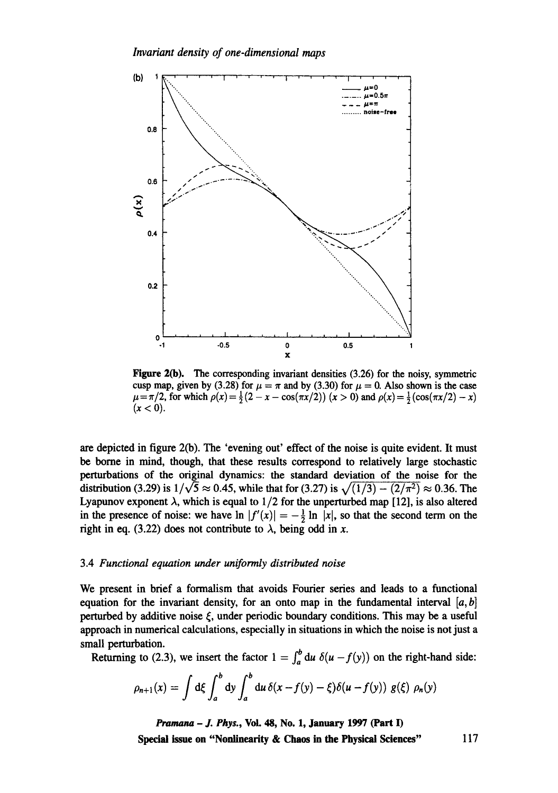

Figure 2(b). The corresponding invariant densities (3.26) for the noisy, symmetric cusp map, given by (3.28) for  $\mu = \pi$  and by (3.30) for  $\mu = 0$ . Also shown is the case  $\mu = \pi/2$ , for which  $\rho(x) = \frac{1}{2}(2 - x - \cos(\pi x/2))(x > 0)$  and  $\rho(x) = \frac{1}{2}(\cos(\pi x/2) - x)$  $(x < 0)$ .

are depicted in figure 2(b). The 'evening out' effect of the noise is quite evident. It must be borne in mind, though, that these results correspond to relatively large stochastic perturbations of the original dynamics: the standard deviation of the noise for the distribution (3.29) is  $1/\sqrt{5} \approx 0.45$ , while that for (3.27) is  $\sqrt{(1/3) - (2/\pi^2)} \approx 0.36$ . The Lyapunov exponent  $\lambda$ , which is equal to 1/2 for the unperturbed map [12], is also altered in the presence of noise: we have  $\ln |f'(x)| = -\frac{1}{2} \ln |x|$ , so that the second term on the right in eq. (3.22) does not contribute to  $\lambda$ , being odd in x.

## 3.4 *Functional equation under uniformly distributed noise*

We present in brief a formalism that avoids Fourier series and leads to a functional equation for the invariant density, for an onto map in the fundamental interval  $[a, b]$ perturbed by additive noise  $\xi$ , under periodic boundary conditions. This may be a useful approach in numerical calculations, especially in situations in which the noise is not just a small perturbation.

Returning to (2.3), we insert the factor  $1 = \int_a^b du \, \delta(u - f(y))$  on the right-hand side:

$$
\rho_{n+1}(x) = \int d\xi \int_a^b dy \int_a^b du \, \delta(x - f(y) - \xi) \delta(u - f(y)) g(\xi) \rho_n(y)
$$

*Pramana - J. Phys.,* **Vol. 48, No. 1, January 1997 (Part I) Special issue on "Nonlinearity & Chaos in the Physical Sciences"** 117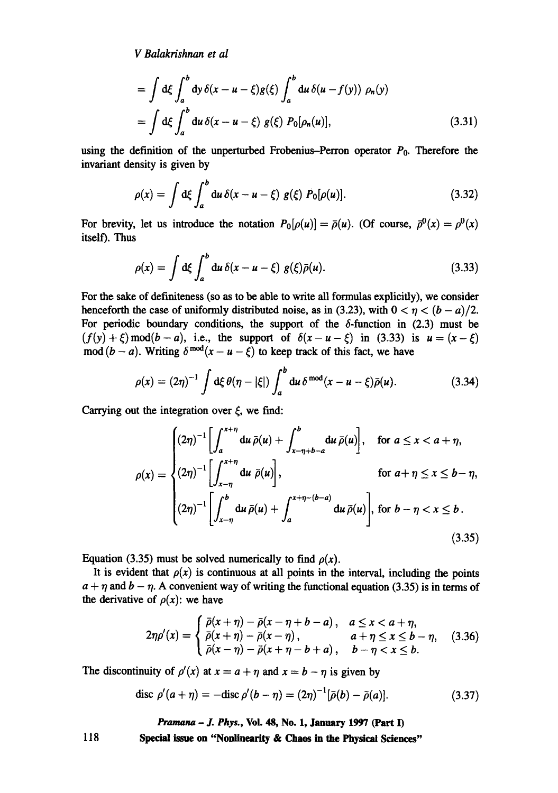*V Balakrishnan et al* 

$$
= \int d\xi \int_a^b dy \,\delta(x - u - \xi)g(\xi) \int_a^b du \,\delta(u - f(y)) \,\rho_n(y)
$$
  

$$
= \int d\xi \int_a^b du \,\delta(x - u - \xi) g(\xi) P_0[\rho_n(u)], \qquad (3.31)
$$

using the definition of the unperturbed Frobenius-Perron operator  $P_0$ . Therefore the invariant density is given by

$$
\rho(x) = \int d\xi \int_{a}^{b} du \, \delta(x - u - \xi) \, g(\xi) \, P_0[\rho(u)]. \tag{3.32}
$$

For brevity, let us introduce the notation  $P_0[\rho(u)] = \bar{\rho}(u)$ . (Of course,  $\bar{\rho}^0(x) = \rho^0(x)$ itself). Thus

$$
\rho(x) = \int d\xi \int_a^b du \, \delta(x - u - \xi) g(\xi) \bar{\rho}(u). \tag{3.33}
$$

For the sake of definiteness (so as to be able to write all formulas explicitly), we consider henceforth the case of uniformly distributed noise, as in (3.23), with  $0 < \eta < (b - a)/2$ . For periodic boundary conditions, the support of the  $\delta$ -function in (2.3) must be  $(f(y) + \xi) \mod (b-a)$ , i.e., the support of  $\delta(x-u-\xi)$  in (3.33) is  $u = (x-\xi)$  $mod (b - a)$ . Writing  $\delta^{mod}(x - u - \xi)$  to keep track of this fact, we have

$$
\rho(x) = (2\eta)^{-1} \int d\xi \,\theta(\eta - |\xi|) \int_a^b du \,\delta^{\text{mod}}(x - u - \xi) \bar{\rho}(u). \tag{3.34}
$$

Carrying out the integration over  $\xi$ , we find:

$$
\rho(x) = \begin{cases}\n(2\eta)^{-1} \left[ \int_a^{x+\eta} \mathrm{d}u \,\bar{\rho}(u) + \int_{x-\eta+b-a}^b \mathrm{d}u \,\bar{\rho}(u) \right], & \text{for } a \le x < a+\eta, \\
(2\eta)^{-1} \left[ \int_{x-\eta}^{x+\eta} \mathrm{d}u \,\bar{\rho}(u) \right], & \text{for } a+\eta \le x \le b-\eta, \\
(2\eta)^{-1} \left[ \int_{x-\eta}^b \mathrm{d}u \,\bar{\rho}(u) + \int_a^{x+\eta-(b-a)} \mathrm{d}u \,\bar{\rho}(u) \right], & \text{for } b-\eta < x \le b.\n\end{cases}
$$
\n(3.35)

Equation (3.35) must be solved numerically to find  $\rho(x)$ .

It is evident that  $\rho(x)$  is continuous at all points in the interval, including the points  $a + \eta$  and  $b - \eta$ . A convenient way of writing the functional equation (3.35) is in terms of the derivative of  $\rho(x)$ : we have

$$
2\eta\rho'(x) = \begin{cases} \bar{\rho}(x+\eta) - \bar{\rho}(x-\eta+b-a), & a \leq x < a+\eta, \\ \bar{\rho}(x+\eta) - \bar{\rho}(x-\eta), & a+\eta \leq x \leq b-\eta, \\ \bar{\rho}(x-\eta) - \bar{\rho}(x+\eta-b+a), & b-\eta < x \leq b. \end{cases}
$$
 (3.36)

The discontinuity of  $\rho'(x)$  at  $x = a + \eta$  and  $x = b - \eta$  is given by

$$
\text{disc } \rho'(a + \eta) = -\text{disc } \rho'(b - \eta) = (2\eta)^{-1}[\bar{\rho}(b) - \bar{\rho}(a)]. \tag{3.37}
$$

*Pramana - J. Phys.,* **Vol. 48, No. 1, January 1997 (Part I)**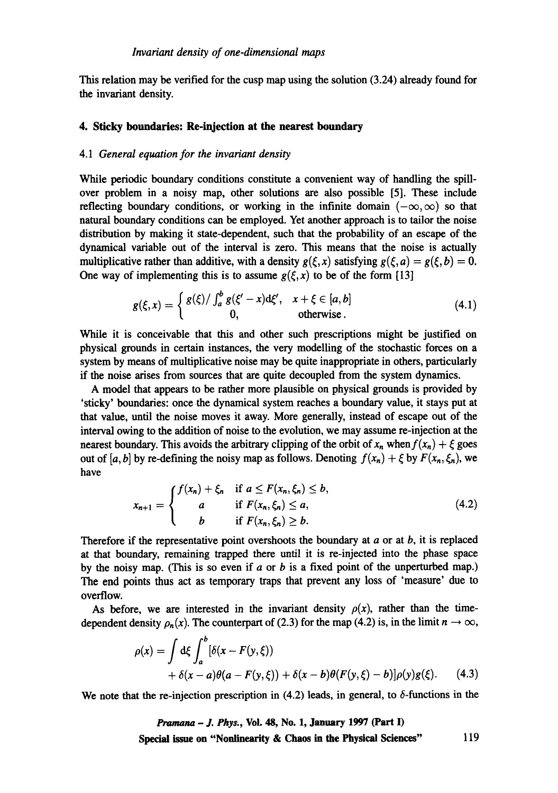This relation may be verified for the cusp map using the solution (3.24) already found for the invariant density.

# **4. Sticky boundaries: Re-injection at the nearest boundary**

## 4.1 *General equation for the invariant density*

While periodic boundary conditions constitute a convenient way of handling the spillover problem in a noisy map, other solutions are also possible [5]. These include reflecting boundary conditions, or working in the infinite domain ( $-\infty, \infty$ ) so that natural boundary conditions can be employed. Yet another approach is to tailor the noise distribution by making it state-dependent, such that the probability of an escape of the dynamical variable out of the interval is zero. This means that the noise is actually multiplicative rather than additive, with a density  $g(\xi, x)$  satisfying  $g(\xi, a) = g(\xi, b) = 0$ . One way of implementing this is to assume  $g(\xi, x)$  to be of the form [13]

$$
g(\xi, x) = \begin{cases} g(\xi)/\int_a^b g(\xi'-x)\mathrm{d}\xi', & x+\xi \in [a, b] \\ 0, & \text{otherwise.} \end{cases}
$$
(4.1)

While it is conceivable that this and other such prescriptions might be justified on physical grounds in certain instances, the very modelling of the stochastic forces on a system by means of multiplicative noise may be quite inappropriate in others, particularly if the noise arises from sources that are quite decoupled from the system dynamics.

A model that appears to be rather more plausible on physical grounds is provided by 'sticky' boundaries: once the dynamical system reaches a boundary value, it stays put **at**  that value, until the noise moves it away. More generally, instead of escape out of the interval owing to the addition of noise to the evolution, we may assume re-injection at the nearest boundary. This avoids the arbitrary clipping of the orbit of  $x_n$  when  $f(x_n) + \xi$  goes out of [a, b] by re-defining the noisy map as follows. Denoting  $f(x_n) + \xi$  by  $F(x_n, \xi_n)$ , we have

$$
x_{n+1} = \begin{cases} f(x_n) + \xi_n & \text{if } a \le F(x_n, \xi_n) \le b, \\ a & \text{if } F(x_n, \xi_n) \le a, \\ b & \text{if } F(x_n, \xi_n) \ge b. \end{cases}
$$
 (4.2)

Therefore if the representative point overshoots the boundary at  $a$  or at  $b$ , it is replaced **at** that boundary, remaining trapped there until it is re-injected into the phase space by the noisy map. (This is so even if  $a$  or  $b$  is a fixed point of the unperturbed map.) The end points thus act as temporary traps that prevent any loss of 'measure' due to overflow.

As before, we are interested in the invariant density  $\rho(x)$ , rather than the timedependent density  $\rho_n(x)$ . The counterpart of (2.3) for the map (4.2) is, in the limit  $n \to \infty$ ,

$$
\rho(x) = \int d\xi \int_a^b [\delta(x - F(y, \xi))
$$
  
+  $\delta(x - a)\theta(a - F(y, \xi)) + \delta(x - b)\theta(F(y, \xi) - b)]\rho(y)g(\xi).$  (4.3)

We note that the re-injection prescription in (4.2) leads, in general, to  $\delta$ -functions in the

*Pranmna - J. Phys.,* **VoL 48, No. 1, January 1997 (Part I) Special issue on "Nonh'nearity & Chaos in the Physical Sciences"** 119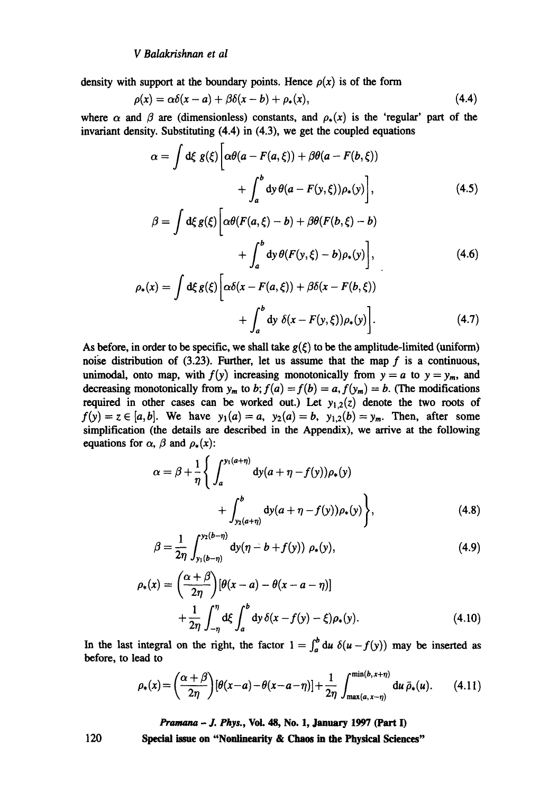density with support at the boundary points. Hence  $\rho(x)$  is of the form

$$
\rho(x) = \alpha \delta(x-a) + \beta \delta(x-b) + \rho_*(x), \qquad (4.4)
$$

where  $\alpha$  and  $\beta$  are (dimensionless) constants, and  $\rho_{*}(x)$  is the 'regular' part of the invariant density. Substituting (4.4) in (4.3), we get the coupled equations

$$
\alpha = \int d\xi \ g(\xi) \bigg[ \alpha \theta (a - F(a, \xi)) + \beta \theta (a - F(b, \xi)) + \int_a^b dy \ \theta (a - F(y, \xi)) \rho_*(y) \bigg], \tag{4.5}
$$

$$
\beta = \int d\xi g(\xi) \left[ \alpha \theta (F(a, \xi) - b) + \beta \theta (F(b, \xi) - b) + \int_a^b dy \, \theta (F(y, \xi) - b) \rho_*(y) \right],
$$
\n(4.6)

$$
\rho_*(x) = \int d\xi g(\xi) \bigg[ \alpha \delta(x - F(a, \xi)) + \beta \delta(x - F(b, \xi)) + \int_a^b dy \ \delta(x - F(y, \xi)) \rho_*(y) \bigg]. \tag{4.7}
$$

As before, in order to be specific, we shall take  $g(\xi)$  to be the amplitude-limited (uniform) noise distribution of  $(3.23)$ . Further, let us assume that the map f is a continuous, unimodal, onto map, with  $f(y)$  increasing monotonically from  $y = a$  to  $y = y_m$ , and decreasing monotonically from  $y_m$  to b;  $f(a) = f(b) = a$ ,  $f(y_m) = b$ . (The modifications required in other cases can be worked out.) Let  $y_{1,2}(z)$  denote the two roots of  $f(y) = z \in [a, b]$ . We have  $y_1(a) = a$ ,  $y_2(a) = b$ ,  $y_{1,2}(b) = y_m$ . Then, after some simplification (the details are described in the Appendix), we arrive at the following equations for  $\alpha$ ,  $\beta$  and  $\rho_*(x)$ :

$$
\alpha = \beta + \frac{1}{\eta} \Bigg\{ \int_{a}^{y_1(a+\eta)} dy (a + \eta - f(y)) \rho_*(y) + \int_{y_2(a+\eta)}^{b} dy (a + \eta - f(y)) \rho_*(y) \Bigg\},
$$
(4.8)

$$
\beta = \frac{1}{2\eta} \int_{y_1(b-\eta)}^{y_2(b-\eta)} dy(\eta - b + f(y)) \; \rho_*(y), \tag{4.9}
$$

$$
\rho_*(x) = \left(\frac{\alpha+\beta}{2\eta}\right)[\theta(x-a) - \theta(x-a-\eta)] + \frac{1}{2\eta} \int_{-\eta}^{\eta} d\xi \int_a^b dy \, \delta(x-f(y)-\xi)\rho_*(y). \tag{4.10}
$$

In the last integral on the right, the factor  $1 = \int_a^b du \, \delta(u-f(y))$  may be inserted as before, to lead to

$$
\rho_*(x) = \left(\frac{\alpha+\beta}{2\eta}\right)[\theta(x-a)-\theta(x-a-\eta)] + \frac{1}{2\eta}\int_{\max(a,\,x-\eta)}^{\min(b,\,x+\eta)}\mathrm{d}u\,\bar{\rho}_*(u). \qquad (4.11)
$$

*Pmmana - J. Phys.,* **Voi. 48, No. 1, January 1997 (Part I)** 

**Special issue on "Nonlinearity & Chaos in the Physical Sciences"**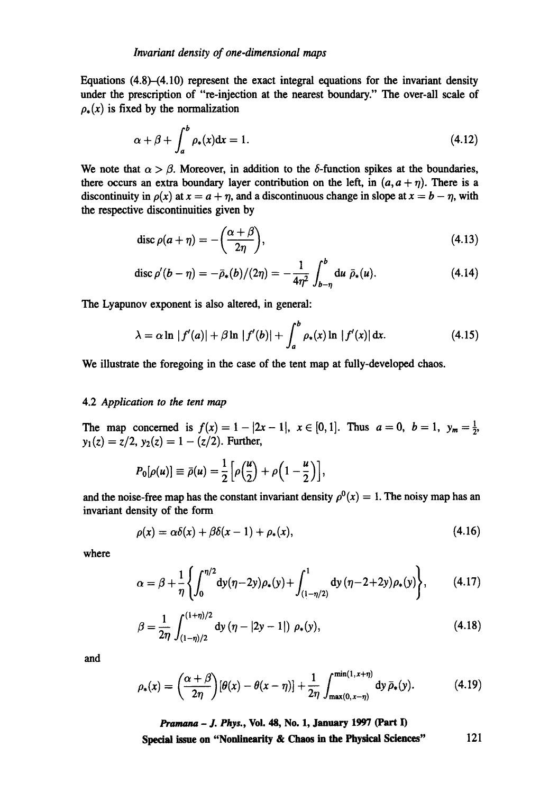Equations  $(4.8)$ - $(4.10)$  represent the exact integral equations for the invariant density under the prescription of "re-injection at the nearest boundary." The over-all scale of  $\rho_*(x)$  is fixed by the normalization

$$
\alpha + \beta + \int_{a}^{b} \rho_{*}(x) dx = 1. \tag{4.12}
$$

We note that  $\alpha > \beta$ . Moreover, in addition to the  $\delta$ -function spikes at the boundaries, there occurs an extra boundary layer contribution on the left, in  $(a, a + \eta)$ . There is a discontinuity in  $\rho(x)$  at  $x = a + \eta$ , and a discontinuous change in slope at  $x = b - \eta$ , with the respective discontinuities given by

$$
\operatorname{disc}\rho(a+\eta)=-\bigg(\frac{\alpha+\beta}{2\eta}\bigg),\tag{4.13}
$$

$$
\operatorname{disc}\rho'(b-\eta)=-\bar{\rho}_*(b)/(2\eta)=-\frac{1}{4\eta^2}\int_{b-\eta}^b \operatorname{d} u \; \bar{\rho}_*(u). \tag{4.14}
$$

The Lyapunov exponent is also altered, in general:

$$
\lambda = \alpha \ln |f'(a)| + \beta \ln |f'(b)| + \int_{a}^{b} \rho_{*}(x) \ln |f'(x)| dx.
$$
 (4.15)

We illustrate the foregoing in the case of the tent map at fully-developed chaos.

# 4.2 *Application to the tent map*

The map concerned is  $f(x) = 1 - |2x-1|$ ,  $x \in [0,1]$ . Thus  $a = 0$ ,  $b = 1$ ,  $y_m = \frac{1}{2}$ ,  $y_1(z) = z/2$ ,  $y_2(z) = 1 - (z/2)$ . Further,

$$
P_0[\rho(u)] \equiv \bar{\rho}(u) = \frac{1}{2}\Big[\rho\Big(\frac{u}{2}\Big) + \rho\Big(1-\frac{u}{2}\Big)\Big],
$$

and the noise-free map has the constant invariant density  $\rho^{0}(x) = 1$ . The noisy map has an invariant density of the form

$$
\rho(x) = \alpha \delta(x) + \beta \delta(x - 1) + \rho_*(x), \qquad (4.16)
$$

where

$$
\alpha = \beta + \frac{1}{\eta} \left\{ \int_0^{\eta/2} dy(\eta - 2y) \rho_*(y) + \int_{(1 - \eta/2)}^1 dy(\eta - 2 + 2y) \rho_*(y) \right\}, \tag{4.17}
$$

$$
\beta = \frac{1}{2\eta} \int_{(1-\eta)/2}^{(1+\eta)/2} dy (\eta - |2y-1|) \rho_*(y), \qquad (4.18)
$$

and

$$
\rho_*(x) = \left(\frac{\alpha+\beta}{2\eta}\right)[\theta(x)-\theta(x-\eta)] + \frac{1}{2\eta}\int_{\max(0,\,x-\eta)}^{\min(1,\,x+\eta)}\mathrm{d}y\,\bar{\rho}_*(y). \tag{4.19}
$$

*Pramana - J. Phys.,* **Vol. 48, No. 1, January 1997 (Part I)**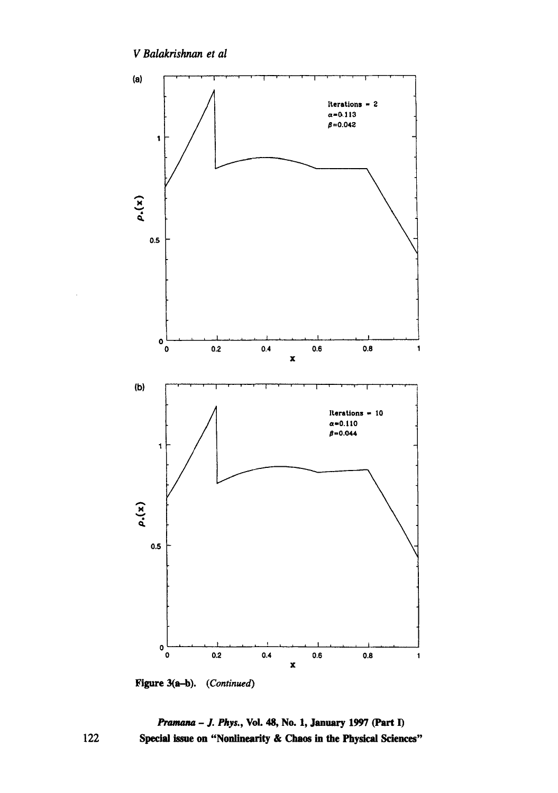

Figure 3(a-b). (Continued)

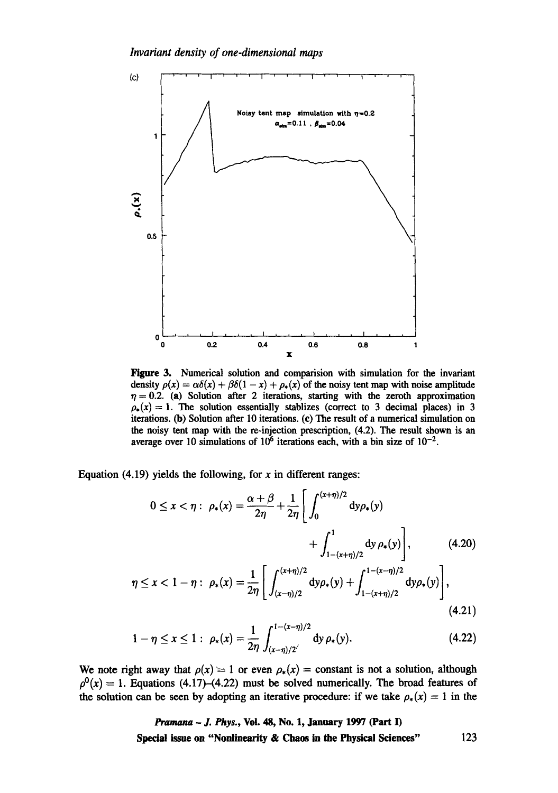*Invariant density of one-dimensional maps* 



Figure 3. Numerical solution and comparision with simulation for the invariant density  $\rho(x) = \alpha \delta(x) + \beta \delta(1-x) + \rho_*(x)$  of the noisy tent map with noise amplitude  $\eta = 0.2$ . (a) Solution after 2 iterations, starting with the zeroth approximation  $\rho_*(x) = 1$ . The solution essentially stablizes (correct to 3 decimal places) in 3 iterations. (b) Solution after 10 iterations. (c) The result of a numerical simulation on the noisy tent map with the re-injection prescription, (4.2). The result shown is an average over 10 simulations of  $10^6$  iterations each, with a bin size of  $10^{-2}$ .

Equation (4.19) yields the following, for x in different ranges:

$$
0 \le x < \eta: \ \rho_*(x) = \frac{\alpha + \beta}{2\eta} + \frac{1}{2\eta} \left[ \int_0^{(x+\eta)/2} dy \rho_*(y) + \int_{1-(x+\eta)/2}^1 dy \rho_*(y) \right], \tag{4.20}
$$

$$
\eta \le x < 1 - \eta: \ \rho_*(x) = \frac{1}{2\eta} \left[ \int_{(x-\eta)/2}^{(x+\eta)/2} dy \rho_*(y) + \int_{1-(x+\eta)/2}^{1-(x-\eta)/2} dy \rho_*(y) \right], \tag{4.21}
$$

$$
1 - \eta \le x \le 1: \ \rho_*(x) = \frac{1}{2\eta} \int_{(x-\eta)/2}^{1-(x-\eta)/2} \mathrm{d}y \, \rho_*(y). \tag{4.22}
$$

We note right away that  $\rho(x) = 1$  or even  $\rho_*(x) =$  constant is not a solution, although  $\rho^{0}(x) = 1$ . Equations (4.17)–(4.22) must be solved numerically. The broad features of the solution can be seen by adopting an iterative procedure: if we take  $\rho_*(x) = 1$  in the

> *Pramana - J. Phys.,* Vol. 48, No. 1, January 1997 (Part I) Special issue **on "Nonlinearity & Chaos in the Physical Sciences"** 123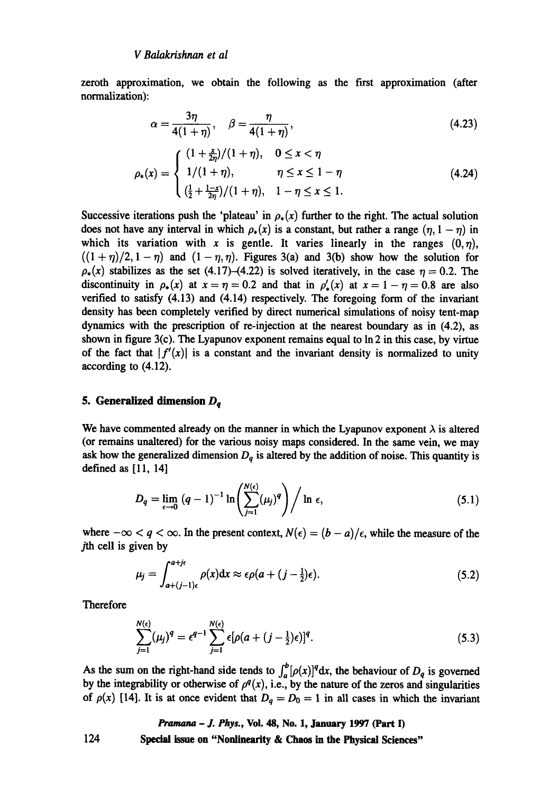zeroth approximation, we obtain the following as the first approximation (after normalization):

$$
\alpha = \frac{3\eta}{4(1+\eta)}, \quad \beta = \frac{\eta}{4(1+\eta)}, \tag{4.23}
$$

$$
\rho_*(x) = \begin{cases}\n(1 + \frac{x}{2\eta})/(1 + \eta), & 0 \le x < \eta \\
1/(1 + \eta), & \eta \le x \le 1 - \eta \\
(\frac{1}{2} + \frac{1-x}{2\eta})/(1 + \eta), & 1 - \eta \le x \le 1.\n\end{cases}
$$
\n(4.24)

Successive iterations push the 'plateau' in  $\rho_*(x)$  further to the right. The actual solution does not have any interval in which  $\rho_{*}(x)$  is a constant, but rather a range  $(\eta, 1 - \eta)$  in which its variation with x is gentle. It varies linearly in the ranges  $(0, \eta)$ ,  $((1 + \eta)/2, 1 - \eta)$  and  $(1 - \eta, \eta)$ . Figures 3(a) and 3(b) show how the solution for  $\rho_*(x)$  stabilizes as the set (4.17)-(4.22) is solved iteratively, in the case  $\eta = 0.2$ . The discontinuity in  $\rho_*(x)$  at  $x = \eta = 0.2$  and that in  $\rho'_*(x)$  at  $x = 1 - \eta = 0.8$  are also verified to satisfy (4.13) and (4.14) respectively. The foregoing form of the invariant density has been completely verified by direct numerical simulations of noisy tent-map dynamics with the prescription of re-injection at the nearest boundary as in (4.2), as shown in figure 3(c). The Lyapunov exponent remains equal to In 2 in this case, by virtue of the fact that  $|f'(x)|$  is a constant and the invariant density is normalized to unity according to (4.12).

# **5. Generalized dimension**  $D_q$

We have commented already on the manner in which the Lyapunov exponent  $\lambda$  is altered (or remains unaltered) for the various noisy maps considered. In the same vein, we may ask how the generalized dimension  $D_q$  is altered by the addition of noise. This quantity is defined as [11, 14]

$$
D_q = \lim_{\epsilon \to 0} (q-1)^{-1} \ln \left( \sum_{j=1}^{N(\epsilon)} (\mu_j)^q \right) / \ln \epsilon, \qquad (5.1)
$$

where  $-\infty < q < \infty$ . In the present context,  $N(\epsilon) = (b - a)/\epsilon$ , while the measure of the jth cell is given by

$$
\mu_j = \int_{a+(j-1)\epsilon}^{a+j\epsilon} \rho(x) dx \approx \epsilon \rho (a+(j-\frac{1}{2})\epsilon).
$$
 (5.2)

Therefore

$$
\sum_{j=1}^{N(\epsilon)} (\mu_j)^q = \epsilon^{q-1} \sum_{j=1}^{N(\epsilon)} \epsilon [\rho(a+(j-\frac{1}{2})\epsilon)]^q.
$$
 (5.3)

As the sum on the right-hand side tends to  $\int_{a}^{b} [\rho(x)]^q dx$ , the behaviour of  $D_q$  is governed by the integrability or otherwise of  $\rho^{q}(x)$ , i.e., by the nature of the zeros and singularities of  $\rho(x)$  [14]. It is at once evident that  $D_q = D_0 = 1$  in all cases in which the invariant

*Pramana - J. Phys.,* **Vol. 48, No. 1, January 1997 (Part 13**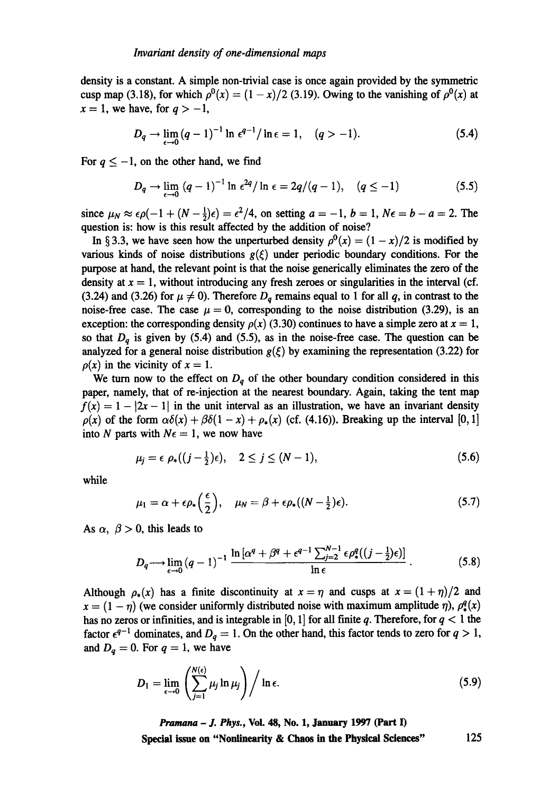density is a constant. A simple non-trivial case is once again provided by the symmetric cusp map (3.18), for which  $\rho^{0}(x) = (1 - x)/2$  (3.19). Owing to the vanishing of  $\rho^{0}(x)$  at  $x = 1$ , we have, for  $q > -1$ ,

$$
D_q \to \lim_{\epsilon \to 0} (q-1)^{-1} \ln \epsilon^{q-1} / \ln \epsilon = 1, \quad (q > -1).
$$
 (5.4)

For  $q \leq -1$ , on the other hand, we find

$$
D_q \to \lim_{\epsilon \to 0} (q-1)^{-1} \ln \epsilon^{2q} / \ln \epsilon = 2q/(q-1), \quad (q \le -1)
$$
 (5.5)

since  $\mu_N \approx \epsilon \rho(-1 + (N - \frac{1}{2})\epsilon) = \epsilon^2/4$ , on setting  $a = -1$ ,  $b = 1$ ,  $N\epsilon = b - a = 2$ . The question is: how is this result affected by the addition of noise?

In § 3.3, we have seen how the unperturbed density  $\rho^{0}(x) = (1 - x)/2$  is modified by various kinds of noise distributions  $g(\xi)$  under periodic boundary conditions. For the purpose at hand, the relevant point is that the noise generically eliminates the zero of the density at  $x = 1$ , without introducing any fresh zeroes or singularities in the interval (cf. (3.24) and (3.26) for  $\mu \neq 0$ ). Therefore  $D_q$  remains equal to 1 for all q, in contrast to the noise-free case. The case  $\mu = 0$ , corresponding to the noise distribution (3.29), is an exception: the corresponding density  $\rho(x)$  (3.30) continues to have a simple zero at  $x = 1$ , so that  $D_q$  is given by (5.4) and (5.5), as in the noise-free case. The question can be analyzed for a general noise distribution  $g(\xi)$  by examining the representation (3.22) for  $\rho(x)$  in the vicinity of  $x = 1$ .

We turn now to the effect on  $D_q$  of the other boundary condition considered in this paper, namely, that of re-injection at the nearest boundary. Again, taking the tent map  $f(x) = 1 - |2x - 1|$  in the unit interval as an illustration, we have an invariant density  $\rho(x)$  of the form  $\alpha\delta(x) + \beta\delta(1-x) + \rho_*(x)$  (cf. (4.16)). Breaking up the interval [0, 1] into N parts with  $N\epsilon = 1$ , we now have

$$
\mu_j = \epsilon \ \rho_*((j - \frac{1}{2})\epsilon), \quad 2 \leq j \leq (N - 1), \tag{5.6}
$$

while

$$
\mu_1 = \alpha + \epsilon \rho_* \left( \frac{\epsilon}{2} \right), \quad \mu_N = \beta + \epsilon \rho_* ((N - \frac{1}{2})\epsilon). \tag{5.7}
$$

As  $\alpha$ ,  $\beta > 0$ , this leads to

$$
D_q \longrightarrow \lim_{\epsilon \to 0} (q-1)^{-1} \frac{\ln \left[ \alpha^q + \beta^q + \epsilon^{q-1} \sum_{j=2}^{N-1} \epsilon \rho_*^q ((j-\frac{1}{2})\epsilon) \right]}{\ln \epsilon} \,. \tag{5.8}
$$

Although  $\rho_*(x)$  has a finite discontinuity at  $x = \eta$  and cusps at  $x = (1 + \eta)/2$  and  $x = (1 - \eta)$  (we consider uniformly distributed noise with maximum amplitude  $\eta$ ),  $\rho_x^q(x)$ has no zeros or infinities, and is integrable in [0, 1] for all finite q. Therefore, for  $q < 1$  the factor  $\epsilon^{q-1}$  dominates, and  $D_q = 1$ . On the other hand, this factor tends to zero for  $q > 1$ , and  $D_q = 0$ . For  $q = 1$ , we have

$$
D_1 = \lim_{\epsilon \to 0} \left( \sum_{j=1}^{N(\epsilon)} \mu_j \ln \mu_j \right) / \ln \epsilon.
$$
 (5.9)

*Pramana - J. Phys.,* **Vol. 48, No. 1, January 1997 (Part I)**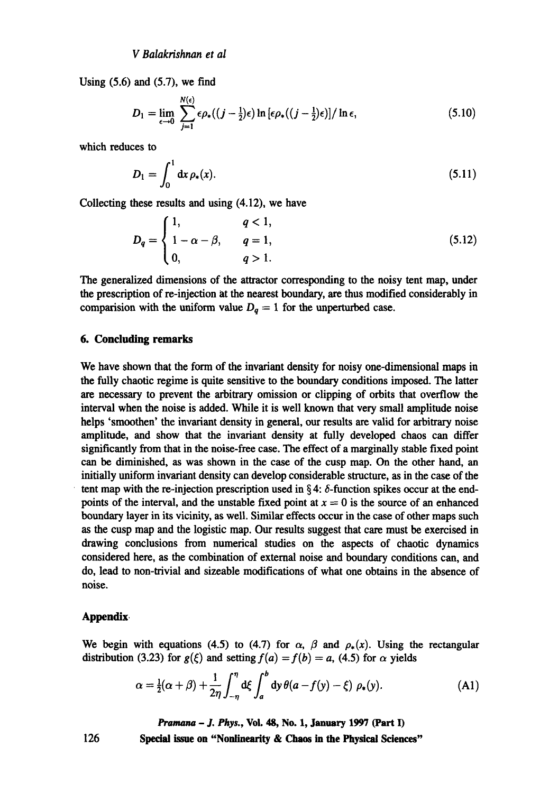Using  $(5.6)$  and  $(5.7)$ , we find

$$
D_1 = \lim_{\epsilon \to 0} \sum_{j=1}^{N(\epsilon)} \epsilon \rho_*((j - \frac{1}{2})\epsilon) \ln \left[\epsilon \rho_*((j - \frac{1}{2})\epsilon)\right] / \ln \epsilon, \tag{5.10}
$$

which reduces to

$$
D_1 = \int_0^1 dx \, \rho_*(x). \tag{5.11}
$$

Collecting these results and using (4.12), we have

$$
D_q = \begin{cases} 1, & q < 1, \\ 1 - \alpha - \beta, & q = 1, \\ 0, & q > 1. \end{cases}
$$
 (5.12)

The generalized dimensions of the attractor corresponding to the noisy tent map, under the prescription of re-injection at the nearest boundary, are thus modified considerably in comparision with the uniform value  $D_q = 1$  for the unperturbed case.

# **6. Concluding remarks**

We have shown that the form of the invariant density for noisy one-dimensional maps in the fully chaotic regime is quite sensitive to the boundary conditions imposed. The latter are necessary to prevent the arbitrary omission or clipping of orbits that overflow the interval when the noise is added. While it is well known that very small amplitude noise helps 'smoothen' the invariant density in general, our results are valid for arbitrary noise amplitude, and show that the invariant density at fully developed chaos can differ significantly from that in the noise-free case. The effect of a marginally stable fixed point can be diminished, as was shown in the case of the cusp map. On the other hand, an initially uniform invariant density can develop considerable structure, as in the case of the tent map with the re-injection prescription used in  $\S 4$ :  $\delta$ -function spikes occur at the endpoints of the interval, and the unstable fixed point at  $x = 0$  is the source of an enhanced boundary layer in its vicinity, as well. Similar effects occur in the case of other maps such as the cusp map and the logistic map. Our results suggest that care must be exercised in drawing conclusions from numerical studies on the aspects of chaotic dynamics considered here, as the combination of external noise and boundary conditions can, and do, lead to non-trivial and sizeable modifications of what one obtains in the absence of noise.

#### Appendix.

We begin with equations (4.5) to (4.7) for  $\alpha$ ,  $\beta$  and  $\rho_*(x)$ . Using the rectangular distribution (3.23) for  $g(\xi)$  and setting  $f(a) = f(b) = a$ , (4.5) for  $\alpha$  yields

$$
\alpha = \frac{1}{2}(\alpha + \beta) + \frac{1}{2\eta} \int_{-\eta}^{\eta} d\xi \int_{a}^{b} dy \,\theta(a - f(y) - \xi) \,\rho_{*}(y). \tag{A1}
$$

*Pramana - J. Phys.,* **Vol. 48, No. 1, January 1997 (Part I)**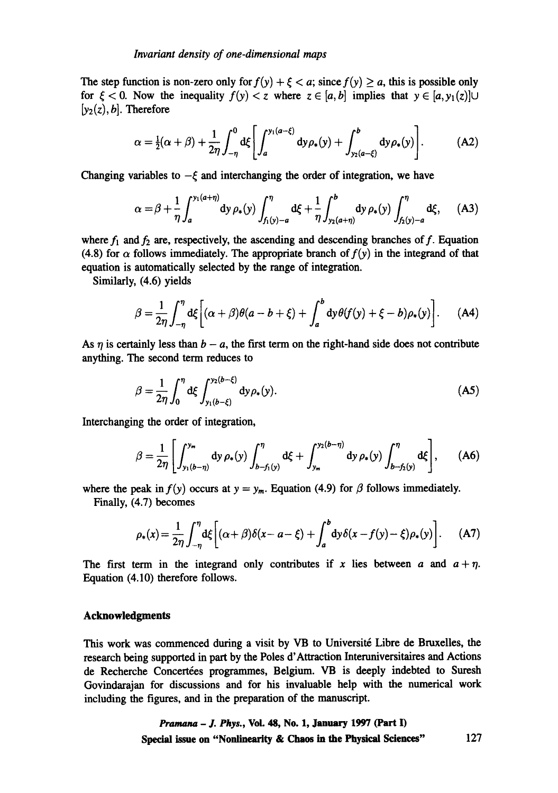The step function is non-zero only for  $f(y) + \xi < a$ ; since  $f(y) \ge a$ , this is possible only for  $\xi < 0$ . Now the inequality  $f(y) < z$  where  $z \in [a, b]$  implies that  $y \in [a, y_1(z)] \cup$  $[y_2(z), b]$ . Therefore

$$
\alpha = \frac{1}{2}(\alpha + \beta) + \frac{1}{2\eta} \int_{-\eta}^{0} d\xi \left[ \int_{a}^{y_1(a-\xi)} dy \rho_*(y) + \int_{y_2(a-\xi)}^{b} dy \rho_*(y) \right]. \tag{A2}
$$

Changing variables to  $-\xi$  and interchanging the order of integration, we have

$$
\alpha = \beta + \frac{1}{\eta} \int_{a}^{y_1(a+\eta)} dy \, \rho_*(y) \int_{f_1(y)-a}^{\eta} d\xi + \frac{1}{\eta} \int_{y_2(a+\eta)}^{b} dy \, \rho_*(y) \int_{f_2(y)-a}^{\eta} d\xi, \quad (A3)
$$

where  $f_1$  and  $f_2$  are, respectively, the ascending and descending branches of  $f$ . Equation (4.8) for  $\alpha$  follows immediately. The appropriate branch of  $f(y)$  in the integrand of that equation is automatically selected by the range of integration.

Similarly, (4.6) yields

$$
\beta = \frac{1}{2\eta} \int_{-\eta}^{\eta} d\xi \bigg[ (\alpha + \beta) \theta (a - b + \xi) + \int_{a}^{b} dy \theta (f(y) + \xi - b) \rho_{*}(y) \bigg]. \tag{A4}
$$

As  $\eta$  is certainly less than  $b - a$ , the first term on the right-hand side does not contribute anything. The second term reduces to

$$
\beta = \frac{1}{2\eta} \int_0^{\eta} d\xi \int_{y_1(b-\xi)}^{y_2(b-\xi)} dy \rho_*(y).
$$
 (A5)

Interchanging the order of integration,

$$
\beta = \frac{1}{2\eta} \left[ \int_{y_1(b-\eta)}^{y_m} dy \, \rho_*(y) \int_{b-f_1(y)}^{\eta} d\xi + \int_{y_m}^{y_2(b-\eta)} dy \, \rho_*(y) \int_{b-f_2(y)}^{\eta} d\xi \right], \qquad (A6)
$$

where the peak in  $f(y)$  occurs at  $y = y_m$ . Equation (4.9) for  $\beta$  follows immediately.

Finally, (4.7) becomes

$$
\rho_*(x) = \frac{1}{2\eta} \int_{-\eta}^{\eta} d\xi \bigg[ (\alpha + \beta) \delta(x - a - \xi) + \int_a^b dy \delta(x - f(y) - \xi) \rho_*(y) \bigg]. \tag{A7}
$$

The first term in the integrand only contributes if x lies between a and  $a + \eta$ . Equation (4.10) therefore follows.

# **Acknowledgments**

This work was commenced during a visit by VB to Université Libre de Bruxelles, the research being supported in part by the Poles d'Attraction Interuniversitaires and Actions de Recherche Concertées programmes, Belgium. VB is deeply indebted to Suresh Govindarajan for discussions and for his invaluable help with the numerical work including the figures, and in the preparation of the manuscript.

> *Pranmna - J. Phys.,* **Vol. 48, No. 1, January 1997 (Part I) Special issue on "Nonlinearity & Chaos in the Physical Sciences"** 127